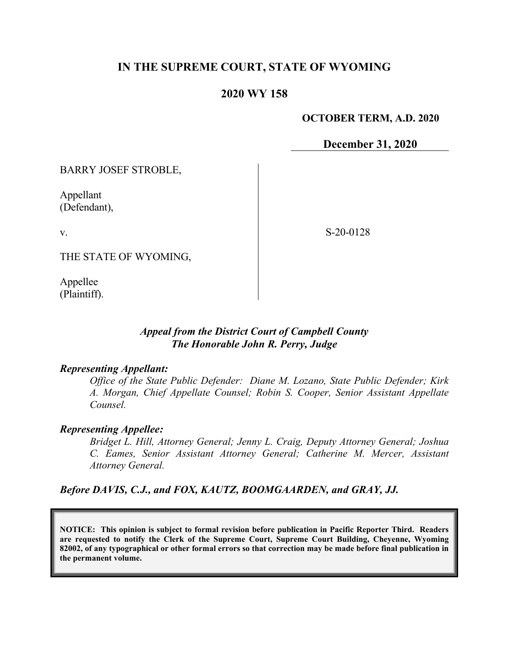# **IN THE SUPREME COURT, STATE OF WYOMING**

## **2020 WY 158**

#### **OCTOBER TERM, A.D. 2020**

**December 31, 2020**

BARRY JOSEF STROBLE,

Appellant (Defendant),

v.

S-20-0128

THE STATE OF WYOMING,

Appellee (Plaintiff).

### *Appeal from the District Court of Campbell County The Honorable John R. Perry, Judge*

#### *Representing Appellant:*

*Office of the State Public Defender: Diane M. Lozano, State Public Defender; Kirk A. Morgan, Chief Appellate Counsel; Robin S. Cooper, Senior Assistant Appellate Counsel.*

#### *Representing Appellee:*

*Bridget L. Hill, Attorney General; Jenny L. Craig, Deputy Attorney General; Joshua C. Eames, Senior Assistant Attorney General; Catherine M. Mercer, Assistant Attorney General.*

### *Before DAVIS, C.J., and FOX, KAUTZ, BOOMGAARDEN, and GRAY, JJ.*

**NOTICE: This opinion is subject to formal revision before publication in Pacific Reporter Third. Readers are requested to notify the Clerk of the Supreme Court, Supreme Court Building, Cheyenne, Wyoming 82002, of any typographical or other formal errors so that correction may be made before final publication in the permanent volume.**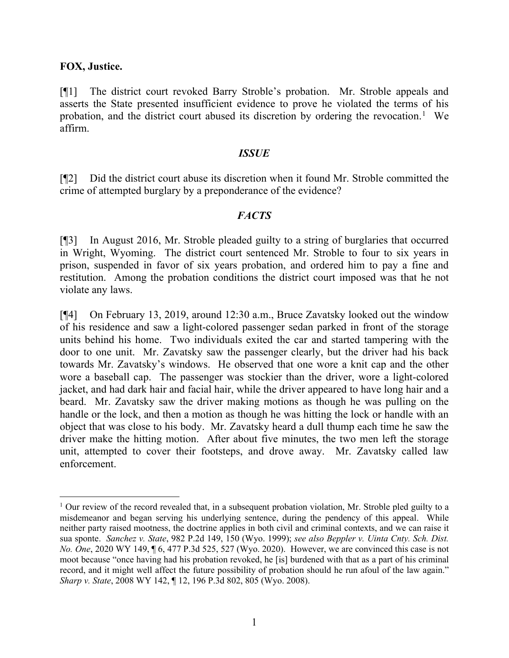### **FOX, Justice.**

[¶1] The district court revoked Barry Stroble's probation. Mr. Stroble appeals and asserts the State presented insufficient evidence to prove he violated the terms of his probation, and the district court abused its discretion by ordering the revocation.<sup>[1](#page-1-0)</sup> We affirm.

#### *ISSUE*

[¶2] Did the district court abuse its discretion when it found Mr. Stroble committed the crime of attempted burglary by a preponderance of the evidence?

#### *FACTS*

[¶3] In August 2016, Mr. Stroble pleaded guilty to a string of burglaries that occurred in Wright, Wyoming. The district court sentenced Mr. Stroble to four to six years in prison, suspended in favor of six years probation, and ordered him to pay a fine and restitution. Among the probation conditions the district court imposed was that he not violate any laws.

[¶4] On February 13, 2019, around 12:30 a.m., Bruce Zavatsky looked out the window of his residence and saw a light-colored passenger sedan parked in front of the storage units behind his home. Two individuals exited the car and started tampering with the door to one unit. Mr. Zavatsky saw the passenger clearly, but the driver had his back towards Mr. Zavatsky's windows. He observed that one wore a knit cap and the other wore a baseball cap. The passenger was stockier than the driver, wore a light-colored jacket, and had dark hair and facial hair, while the driver appeared to have long hair and a beard. Mr. Zavatsky saw the driver making motions as though he was pulling on the handle or the lock, and then a motion as though he was hitting the lock or handle with an object that was close to his body. Mr. Zavatsky heard a dull thump each time he saw the driver make the hitting motion. After about five minutes, the two men left the storage unit, attempted to cover their footsteps, and drove away. Mr. Zavatsky called law enforcement.

<span id="page-1-0"></span><sup>&</sup>lt;sup>1</sup> Our review of the record revealed that, in a subsequent probation violation, Mr. Stroble pled guilty to a misdemeanor and began serving his underlying sentence, during the pendency of this appeal. While neither party raised mootness, the doctrine applies in both civil and criminal contexts, and we can raise it sua sponte. *Sanchez v. State*, 982 P.2d 149, 150 (Wyo. 1999); *see also Beppler v. Uinta Cnty. Sch. Dist. No. One*, 2020 WY 149, ¶ 6, 477 P.3d 525, 527 (Wyo. 2020). However, we are convinced this case is not moot because "once having had his probation revoked, he [is] burdened with that as a part of his criminal record, and it might well affect the future possibility of probation should he run afoul of the law again." *Sharp v. State*, 2008 WY 142, ¶ 12, 196 P.3d 802, 805 (Wyo. 2008).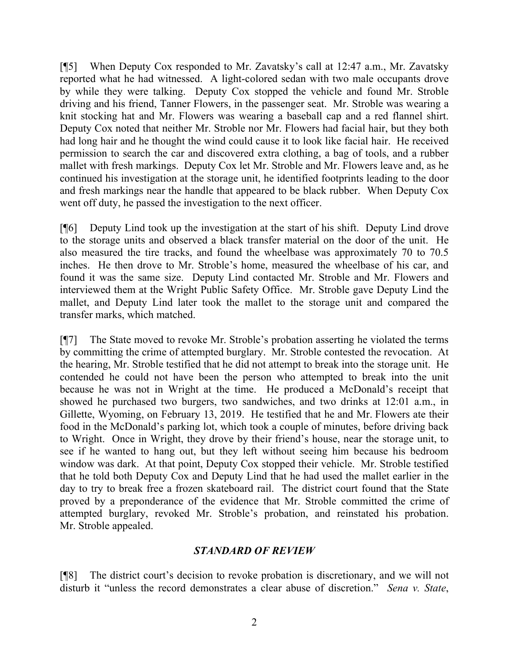[¶5] When Deputy Cox responded to Mr. Zavatsky's call at 12:47 a.m., Mr. Zavatsky reported what he had witnessed. A light-colored sedan with two male occupants drove by while they were talking. Deputy Cox stopped the vehicle and found Mr. Stroble driving and his friend, Tanner Flowers, in the passenger seat. Mr. Stroble was wearing a knit stocking hat and Mr. Flowers was wearing a baseball cap and a red flannel shirt. Deputy Cox noted that neither Mr. Stroble nor Mr. Flowers had facial hair, but they both had long hair and he thought the wind could cause it to look like facial hair. He received permission to search the car and discovered extra clothing, a bag of tools, and a rubber mallet with fresh markings. Deputy Cox let Mr. Stroble and Mr. Flowers leave and, as he continued his investigation at the storage unit, he identified footprints leading to the door and fresh markings near the handle that appeared to be black rubber. When Deputy Cox went off duty, he passed the investigation to the next officer.

[¶6] Deputy Lind took up the investigation at the start of his shift. Deputy Lind drove to the storage units and observed a black transfer material on the door of the unit. He also measured the tire tracks, and found the wheelbase was approximately 70 to 70.5 inches. He then drove to Mr. Stroble's home, measured the wheelbase of his car, and found it was the same size. Deputy Lind contacted Mr. Stroble and Mr. Flowers and interviewed them at the Wright Public Safety Office. Mr. Stroble gave Deputy Lind the mallet, and Deputy Lind later took the mallet to the storage unit and compared the transfer marks, which matched.

[¶7] The State moved to revoke Mr. Stroble's probation asserting he violated the terms by committing the crime of attempted burglary. Mr. Stroble contested the revocation. At the hearing, Mr. Stroble testified that he did not attempt to break into the storage unit. He contended he could not have been the person who attempted to break into the unit because he was not in Wright at the time. He produced a McDonald's receipt that showed he purchased two burgers, two sandwiches, and two drinks at 12:01 a.m., in Gillette, Wyoming, on February 13, 2019. He testified that he and Mr. Flowers ate their food in the McDonald's parking lot, which took a couple of minutes, before driving back to Wright. Once in Wright, they drove by their friend's house, near the storage unit, to see if he wanted to hang out, but they left without seeing him because his bedroom window was dark. At that point, Deputy Cox stopped their vehicle. Mr. Stroble testified that he told both Deputy Cox and Deputy Lind that he had used the mallet earlier in the day to try to break free a frozen skateboard rail. The district court found that the State proved by a preponderance of the evidence that Mr. Stroble committed the crime of attempted burglary, revoked Mr. Stroble's probation, and reinstated his probation. Mr. Stroble appealed.

### *STANDARD OF REVIEW*

[¶8] The district court's decision to revoke probation is discretionary, and we will not disturb it "unless the record demonstrates a clear abuse of discretion." *Sena v. State*,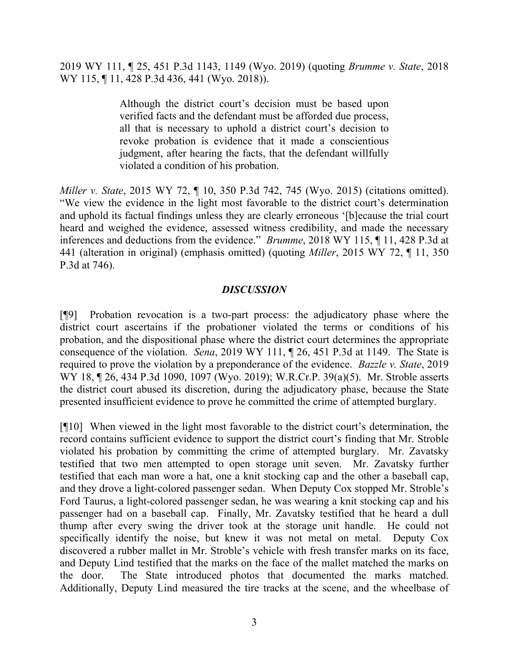2019 WY 111, ¶ 25, 451 P.3d 1143, 1149 (Wyo. 2019) (quoting *Brumme v. State*, 2018 WY 115, 11, 428 P.3d 436, 441 (Wyo. 2018)).

> Although the district court's decision must be based upon verified facts and the defendant must be afforded due process, all that is necessary to uphold a district court's decision to revoke probation is evidence that it made a conscientious judgment, after hearing the facts, that the defendant willfully violated a condition of his probation.

*Miller v. State*, 2015 WY 72, ¶ 10, 350 P.3d 742, 745 (Wyo. 2015) (citations omitted). "We view the evidence in the light most favorable to the district court's determination and uphold its factual findings unless they are clearly erroneous '[b]ecause the trial court heard and weighed the evidence, assessed witness credibility, and made the necessary inferences and deductions from the evidence." *Brumme*, 2018 WY 115, ¶ 11, 428 P.3d at 441 (alteration in original) (emphasis omitted) (quoting *Miller*, 2015 WY 72, ¶ 11, 350 P.3d at 746).

## *DISCUSSION*

[¶9] Probation revocation is a two-part process: the adjudicatory phase where the district court ascertains if the probationer violated the terms or conditions of his probation, and the dispositional phase where the district court determines the appropriate consequence of the violation. *Sena*, 2019 WY 111, ¶ 26, 451 P.3d at 1149. The State is required to prove the violation by a preponderance of the evidence. *Bazzle v. State*, 2019 WY 18, 126, 434 P.3d 1090, 1097 (Wyo. 2019); W.R.Cr.P. 39(a)(5). Mr. Stroble asserts the district court abused its discretion, during the adjudicatory phase, because the State presented insufficient evidence to prove he committed the crime of attempted burglary.

[¶10] When viewed in the light most favorable to the district court's determination, the record contains sufficient evidence to support the district court's finding that Mr. Stroble violated his probation by committing the crime of attempted burglary. Mr. Zavatsky testified that two men attempted to open storage unit seven. Mr. Zavatsky further testified that each man wore a hat, one a knit stocking cap and the other a baseball cap, and they drove a light-colored passenger sedan. When Deputy Cox stopped Mr. Stroble's Ford Taurus, a light-colored passenger sedan, he was wearing a knit stocking cap and his passenger had on a baseball cap. Finally, Mr. Zavatsky testified that he heard a dull thump after every swing the driver took at the storage unit handle. He could not specifically identify the noise, but knew it was not metal on metal. Deputy Cox discovered a rubber mallet in Mr. Stroble's vehicle with fresh transfer marks on its face, and Deputy Lind testified that the marks on the face of the mallet matched the marks on the door. The State introduced photos that documented the marks matched. Additionally, Deputy Lind measured the tire tracks at the scene, and the wheelbase of